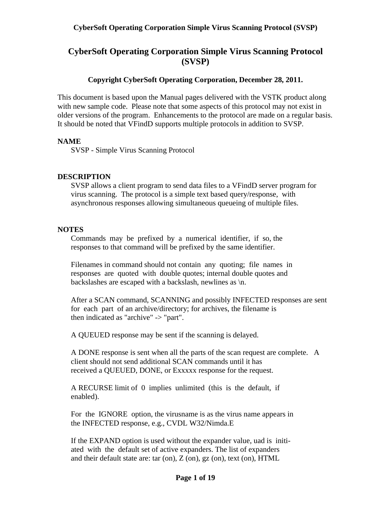# **CyberSoft Operating Corporation Simple Virus Scanning Protocol (SVSP)**

# **Copyright CyberSoft Operating Corporation, December 28, 2011.**

This document is based upon the Manual pages delivered with the VSTK product along with new sample code. Please note that some aspects of this protocol may not exist in older versions of the program. Enhancements to the protocol are made on a regular basis. It should be noted that VFindD supports multiple protocols in addition to SVSP.

#### **NAME**

SVSP - Simple Virus Scanning Protocol

#### **DESCRIPTION**

SVSP allows a client program to send data files to a VFindD server program for virus scanning. The protocol is a simple text based query/response, with asynchronous responses allowing simultaneous queueing of multiple files.

#### **NOTES**

 Commands may be prefixed by a numerical identifier, if so, the responses to that command will be prefixed by the same identifier.

 Filenames in command should not contain any quoting; file names in responses are quoted with double quotes; internal double quotes and backslashes are escaped with a backslash, newlines as \n.

 After a SCAN command, SCANNING and possibly INFECTED responses are sent for each part of an archive/directory; for archives, the filename is then indicated as "archive" -> "part".

A QUEUED response may be sent if the scanning is delayed.

 A DONE response is sent when all the parts of the scan request are complete. A client should not send additional SCAN commands until it has received a QUEUED, DONE, or Exxxxx response for the request.

 A RECURSE limit of 0 implies unlimited (this is the default, if enabled).

 For the IGNORE option, the virusname is as the virus name appears in the INFECTED response, e.g., CVDL W32/Nimda.E

 If the EXPAND option is used without the expander value, uad is initi ated with the default set of active expanders. The list of expanders and their default state are: tar (on),  $Z$  (on),  $gz$  (on), text (on),  $HTML$ 

#### **Page 1 of 19**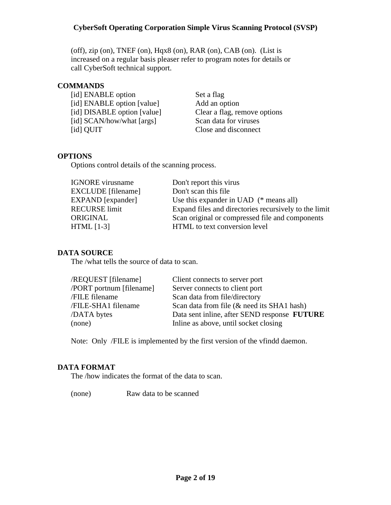(off), zip (on), TNEF (on), Hqx8 (on), RAR (on), CAB (on). (List is increased on a regular basis pleaser refer to program notes for details or call CyberSoft technical support.

## **COMMANDS**

[id] ENABLE option Set a flag [id] ENABLE option [value] Add an option [id] DISABLE option [value] Clear a flag, remove options [id] SCAN/how/what [args] Scan data for viruses [id] QUIT Close and disconnect

# **OPTIONS**

Options control details of the scanning process.

| <b>IGNORE</b> virusname   | Don't report this virus                               |
|---------------------------|-------------------------------------------------------|
| <b>EXCLUDE</b> [filename] | Don't scan this file                                  |
| EXPAND [expander]         | Use this expander in UAD $(*$ means all)              |
| <b>RECURSE</b> limit      | Expand files and directories recursively to the limit |
| ORIGINAL                  | Scan original or compressed file and components       |
| $HTML [1-3]$              | HTML to text conversion level                         |
|                           |                                                       |

# **DATA SOURCE**

The /what tells the source of data to scan.

| /REQUEST [filename]      | Client connects to server port               |
|--------------------------|----------------------------------------------|
| /PORT portnum [filename] | Server connects to client port               |
| /FILE filename           | Scan data from file/directory                |
| /FILE-SHA1 filename      | Scan data from file (& need its SHA1 hash)   |
| /DATA bytes              | Data sent inline, after SEND response FUTURE |
| (none)                   | Inline as above, until socket closing        |
|                          |                                              |

Note: Only /FILE is implemented by the first version of the vfindd daemon.

# **DATA FORMAT**

The /how indicates the format of the data to scan.

(none) Raw data to be scanned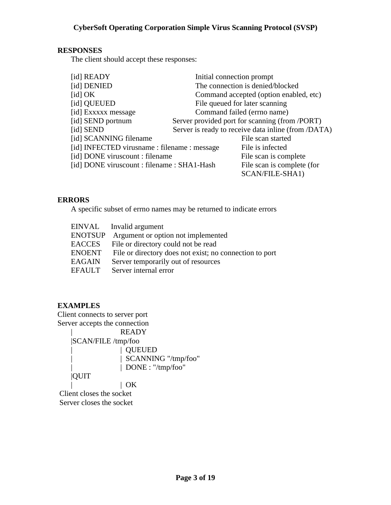## **RESPONSES**

The client should accept these responses:

| [id] READY                                   | Initial connection prompt                           |
|----------------------------------------------|-----------------------------------------------------|
| [id] DENIED                                  | The connection is denied/blocked                    |
| $\lceil$ id $\rceil$ OK                      | Command accepted (option enabled, etc)              |
| [id] QUEUED                                  | File queued for later scanning                      |
| [id] Exxxxx message                          | Command failed (errno name)                         |
| [id] SEND portnum                            | Server provided port for scanning (from /PORT)      |
| [id] SEND                                    | Server is ready to receive data inline (from /DATA) |
| [id] SCANNING filename                       | File scan started                                   |
| [id] INFECTED virusname : filename : message | File is infected                                    |
| [id] DONE viruscount : filename              | File scan is complete                               |
| [id] DONE viruscount : filename : SHA1-Hash  | File scan is complete (for                          |
|                                              | SCAN/FILE-SHA1)                                     |

## **ERRORS**

A specific subset of errno names may be returned to indicate errors

|                | EINVAL Invalid argument |                                                         |
|----------------|-------------------------|---------------------------------------------------------|
| <b>ENOTSUP</b> |                         | Argument or option not implemented                      |
| EACCES         |                         | File or directory could not be read                     |
| ENOENT         |                         | File or directory does not exist; no connection to port |
| EAGAIN         |                         | Server temporarily out of resources                     |
| EFAULT         |                         | Server internal error                                   |

# **EXAMPLES**

Client connects to server port Server accepts the connection

 | READY |SCAN/FILE /tmp/foo | | QUEUED | SCANNING "/tmp/foo" | DONE : "/tmp/foo" |QUIT  $| OK$ Client closes the socket

Server closes the socket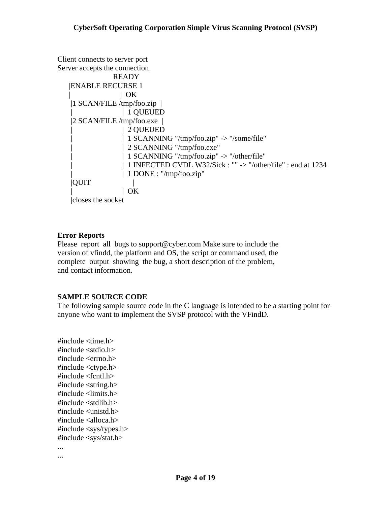```
Client connects to server port 
Server accepts the connection 
                  READY 
    |ENABLE RECURSE 1 
                   \mid OK
     |1 SCAN/FILE /tmp/foo.zip | 
                     | | 1 QUEUED 
     |2 SCAN/FILE /tmp/foo.exe | 
                     | | 2 QUEUED 
                    | 1 SCANNING "/tmp/foo.zip" -> "/some/file"
                    | 2 SCANNING "/tmp/foo.exe"
                    | 1 SCANNING "/tmp/foo.zip" -> "/other/file"
                    | 1 INFECTED CVDL W32/Sick : "" -> "/other/file" : end at 1234
                    | 1 DONE : "/tmp/foo.zip"
    |OUT\mid OK
     |closes the socket
```
# **Error Reports**

Please report all bugs to support@cyber.com Make sure to include the version of vfindd, the platform and OS, the script or command used, the complete output showing the bug, a short description of the problem, and contact information.

# **SAMPLE SOURCE CODE**

The following sample source code in the C language is intended to be a starting point for anyone who want to implement the SVSP protocol with the VFindD.

```
#include <time.h>
#include <stdio.h>
#include <errno.h>
#include <ctype.h>
#include <fcntl.h>
#include <string.h>
#include <limits.h>
#include <stdlib.h>
#include <unistd.h>
#include <alloca.h>
#include <sys/types.h>
#include <sys/stat.h>
...
```
...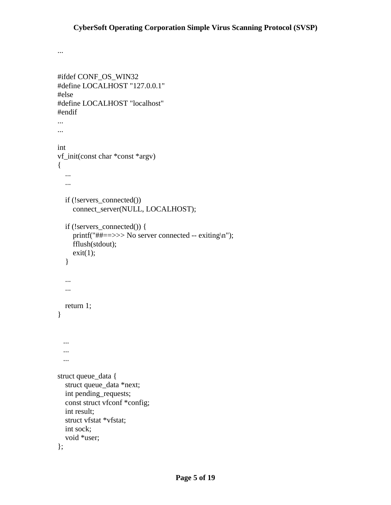```
#ifdef CONF_OS_WIN32
#define LOCALHOST "127.0.0.1"
#else
#define LOCALHOST "localhost"
#endif
...
...
int
vf_init(const char *const *argv)
{
   ...
   ...
   if (!servers_connected())
     connect_server(NULL, LOCALHOST);
   if (!servers_connected()) {
     printf("##==>>> No server connected -- exiting\n");
     fflush(stdout);
    exit(1); }
   ...
   ...
   return 1;
}
  ...
  ...
  ...
struct queue_data {
   struct queue_data *next;
   int pending_requests;
  const struct vfconf *config;
   int result;
  struct vfstat *vfstat;
   int sock;
   void *user;
};
```
...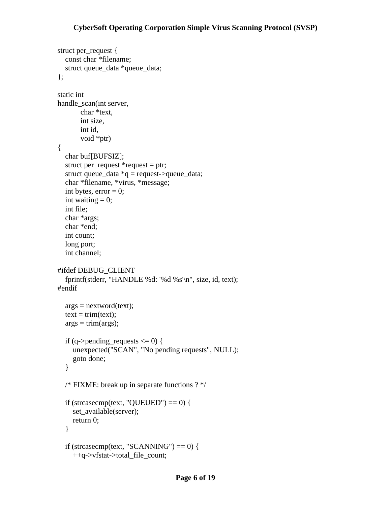```
struct per_request {
   const char *filename;
   struct queue_data *queue_data;
};
static int
handle_scan(int server,
        char *text,
        int size,
        int id,
        void *ptr)
{
   char buf[BUFSIZ];
  struct per_request *request = ptr;
  struct queue_data *q = request->queue_data;
   char *filename, *virus, *message;
  int bytes, error = 0;
  int waiting = 0;
   int file;
   char *args;
   char *end;
   int count;
   long port;
   int channel;
#ifdef DEBUG_CLIENT
   fprintf(stderr, "HANDLE %d: '%d %s'\n", size, id, text);
#endif
  args = nextword(text);text = trim(text);args = trim(args);if (q->pending_requests \leq 0) {
     unexpected("SCAN", "No pending requests", NULL);
      goto done;
   }
   /* FIXME: break up in separate functions ? */
  if (strcasecmp(text, "QUEUED") == 0) {
     set_available(server);
     return 0;
   }
  if (strcasecmp(text, "SCANNING") == 0) {
      ++q->vfstat->total_file_count;
```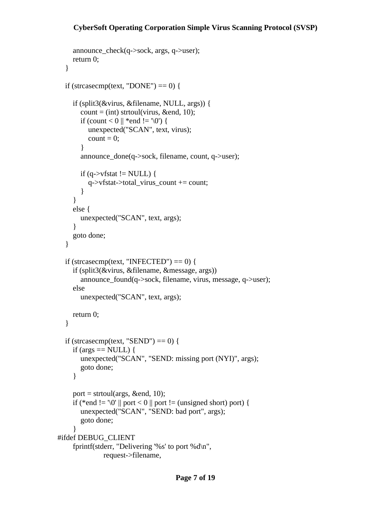```
 announce_check(q->sock, args, q->user);
     return 0;
   }
  if (strcasecmp(text, "DONE") == 0) {
     if (split3(&virus, &filename, NULL, args)) {
       count = (int) strtoul(virus, &end, 10);
       if (count < 0 || *end != '\0') {
          unexpected("SCAN", text, virus);
         count = 0;
        }
        announce_done(q->sock, filename, count, q->user);
       if (q->vfstat != NULL) {
          q->vfstat->total_virus_count += count;
        }
     }
     else {
        unexpected("SCAN", text, args);
      }
     goto done;
   }
  if (strcasecmp(text, "INFECTED") == 0) {
     if (split3(&virus, &filename, &message, args))
        announce_found(q->sock, filename, virus, message, q->user);
     else
        unexpected("SCAN", text, args);
     return 0;
   }
  if (strcasecmp(text, "SEND") == 0) {
    if (args == NULL) {
        unexpected("SCAN", "SEND: missing port (NYI)", args);
        goto done;
     }
    port = strtoul(args, &end, 10);
    if (*end != '\0' || port < 0 || port != (unsigned short) port) {
        unexpected("SCAN", "SEND: bad port", args);
        goto done;
     }
#ifdef DEBUG_CLIENT
     fprintf(stderr, "Delivering '%s' to port %d\n",
                request->filename,
```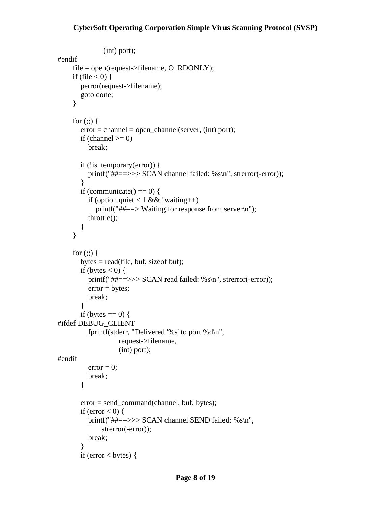```
 (int) port);
#endif
      file = open(request->filename, O_RDONLY);
    if (file \leq 0) {
        perror(request->filename);
        goto done;
      }
     for (;;) {
       error = channel = open\_channel(server, (int) port);
       if (channel \geq=0)
           break;
        if (!is_temporary(error)) {
          printf("##==>>> SCAN channel failed: %s\n", strerror(-error));
        }
       if (communicate() == 0) {
          if (option.quiet \leq 1 && !waiting ++)
             printf("##==> Waiting for response from server\n");
           throttle();
        }
      }
     for (:;) \{bytes = read(file, but, size of but);if (bytes \leq 0) {
           printf("##==>>> SCAN read failed: %s\n", strerror(-error));
          error = bytes; break;
        }
       if (bytes == 0) {
#ifdef DEBUG_CLIENT
           fprintf(stderr, "Delivered '%s' to port %d\n",
                     request->filename,
                     (int) port);
#endif
          error = 0;
           break;
        }
        error = send_command(channel, buf, bytes);
       if (error \leq 0) {
          printf("##==>>> SCAN channel SEND failed: %s\n",
               strerror(-error));
           break;
        }
       if (error \leq bytes) {
```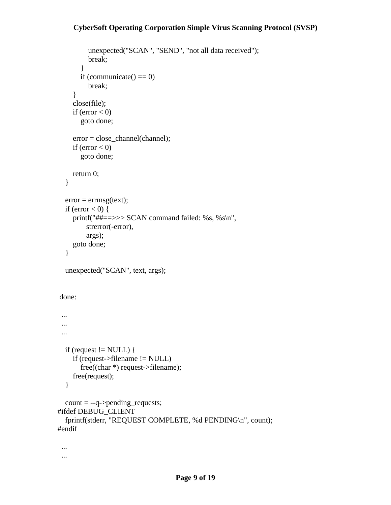```
 unexpected("SCAN", "SEND", "not all data received");
          break;
        }
       if (communicate() == 0)
          break;
      }
      close(file);
     if (error < 0)
        goto done;
      error = close_channel(channel);
    if (error \leq 0)
        goto done;
     return 0;
   }
  error = errmsg(text);if (error < 0) {
    printf("##==>>> SCAN command failed: %s, %s\n",
          strerror(-error),
          args);
      goto done;
   }
   unexpected("SCAN", text, args);
 done:
  ...
  ...
  ...
  if (request != NULL) {
      if (request->filename != NULL)
        free((char *) request->filename);
     free(request);
   }
  count = -q->pending_requests;
#ifdef DEBUG_CLIENT
   fprintf(stderr, "REQUEST COMPLETE, %d PENDING\n", count);
#endif
```
 ... ...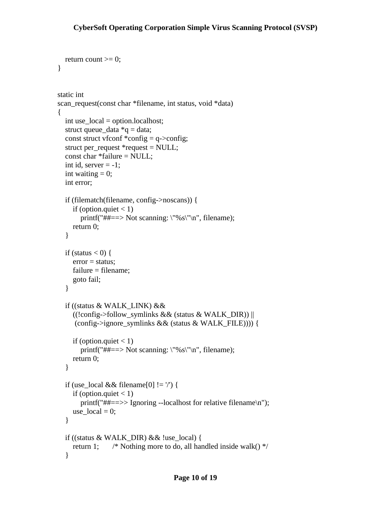```
return count >= 0;
}
static int
scan_request(const char *filename, int status, void *data)
{
   int use_local = option.localhost;
  struct queue_data *q = data;
  const struct vfconf *config = q->config;
   struct per_request *request = NULL;
   const char *failure = NULL;
  int id, server = -1;
  int waiting = 0;
   int error;
   if (filematch(filename, config->noscans)) {
     if (option.quiet \leq 1)
        printf("##==> Not scanning: \"%s\"\n", filename);
     return 0;
   }
  if (status \leq 0) {
    error = status; failure = filename;
      goto fail;
   }
   if ((status & WALK_LINK) &&
      ((!config->follow_symlinks && (status & WALK_DIR)) ||
      (config->ignore_symlinks && (status & WALK_FILE)))) {
    if (option.quiet \leq 1)
       printf("##==> Not scanning: \"%s\"\n", filename);
     return 0;
   }
   if (use_local && filename[0] != '/') {
     if (option.quiet \leq 1)
       printf("##==>> Ignoring --localhost for relative filename\n");
    use local = 0;
   }
   if ((status & WALK_DIR) && !use_local) {
    return 1; \frac{\partial f}{\partial x} /* Nothing more to do, all handled inside walk() */
   }
```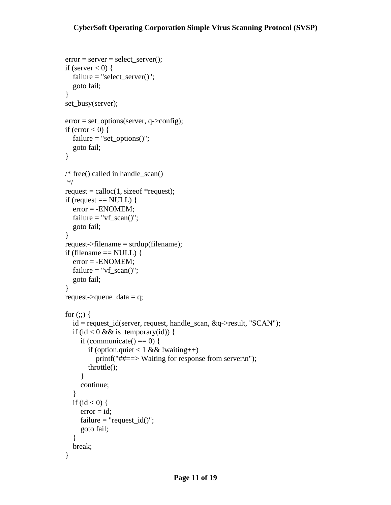```
 error = server = select_server();
if (server \leq 0) {
   failure = "select_server()";
   goto fail;
 }
 set_busy(server);
error = set\_options(server, q->config);if (error \leq 0) {
  failure = "set_options()";
   goto fail;
 }
 /* free() called in handle_scan()
 */
request = calloc(1, size of * request);
if (request == NULL) {
   error = -ENOMEM;
  failure = "vf_scan()";
   goto fail;
 }
request ->filename = strdup(filename);
if (filename == NULL) {
   error = -ENOMEM;
  failure = "vf_scan()";
   goto fail;
 }
request->queue_data = q;
for (;;) {
   id = request_id(server, request, handle_scan, &q->result, "SCAN");
  if (id \leq 0 && is_temporary(id)) {
     if (communicate() == 0) {
        if (option.quiet \leq 1 && !waiting ++)
           printf("##==> Waiting for response from server\n");
         throttle();
      }
      continue;
    }
  if (id < 0) {
     error = id;
     failure = "request_id()";
      goto fail;
    }
   break;
 }
```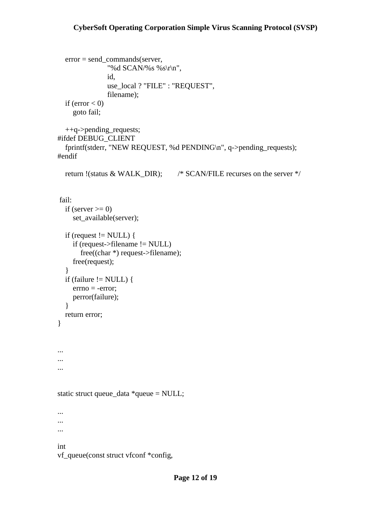```
 error = send_commands(server,
                 "%d SCAN/%s %s\r\n",
                 id,
                 use_local ? "FILE" : "REQUEST",
                 filename);
  if (error < 0)
      goto fail;
   ++q->pending_requests;
#ifdef DEBUG_CLIENT
   fprintf(stderr, "NEW REQUEST, %d PENDING\n", q->pending_requests);
#endif
   return !(status & WALK_DIR); /* SCAN/FILE recurses on the server */
 fail:
  if (server \geq 0)
      set_available(server);
  if (request != NULL) {
      if (request->filename != NULL)
        free((char *) request->filename);
      free(request);
   }
  if (failure != NULL) {
      errno = -error;
      perror(failure);
   }
   return error;
}
...
...
...
static struct queue_data *queue = NULL;
...
...
...
int
vf_queue(const struct vfconf *config,
```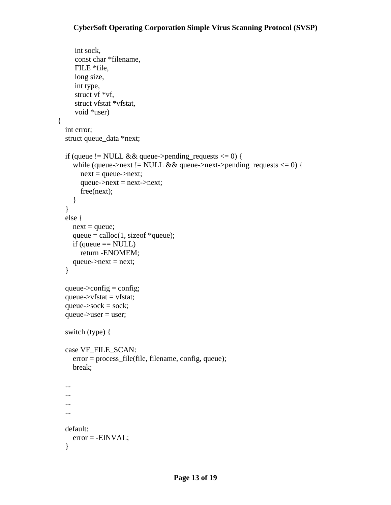```
 int sock,
      const char *filename,
      FILE *file,
      long size,
      int type,
      struct vf *vf,
      struct vfstat *vfstat,
      void *user)
{
   int error;
   struct queue_data *next;
  if (queue != NULL && queue->pending_requests \leq 0) {
      while (queue->next != NULL && queue->next->pending_requests <= 0) {
       next = queue->next;queue->next = next->next;
        free(next);
      }
   }
   else {
     next = queue;queue = calo(1, sizeof *queue);if (queue == NULL)
        return -ENOMEM;
    queue->next = next;
   }
  queue->config = config;
  queue-\rightarrowvfstat = vfstat;
  queue->sock =sock;
   queue->user = user;
   switch (type) {
   case VF_FILE_SCAN:
      error = process_file(file, filename, config, queue);
      break;
   ...
   ...
   ...
   ...
   default:
      error = -EINVAL;
   }
```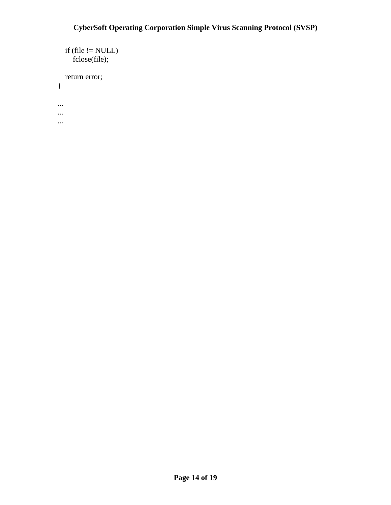```
if (file != NULL)
      fclose(file);
   return error;
}
...
...
...
```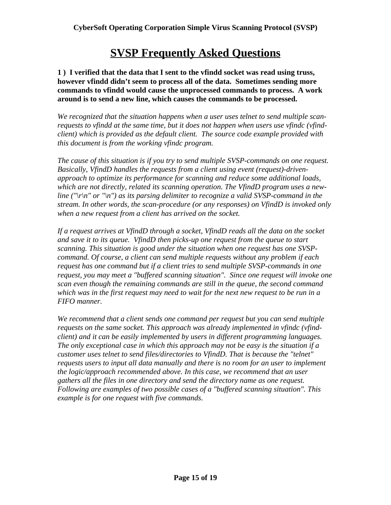# **SVSP Frequently Asked Questions**

**1 ) I verified that the data that I sent to the vfindd socket was read using truss, however vfindd didn't seem to process all of the data. Sometimes sending more commands to vfindd would cause the unprocessed commands to process. A work around is to send a new line, which causes the commands to be processed.**

*We recognized that the situation happens when a user uses telnet to send multiple scanrequests to vfindd at the same time, but it does not happen when users use vfindc (vfindclient) which is provided as the default client. The source code example provided with this document is from the working vfindc program.*

*The cause of this situation is if you try to send multiple SVSP-commands on one request. Basically, VfindD handles the requests from a client using event (request)-drivenapproach to optimize its performance for scanning and reduce some additional loads, which are not directly, related its scanning operation. The VfindD program uses a newline ("\r\n" or "\n") as its parsing delimiter to recognize a valid SVSP-command in the stream. In other words, the scan-procedure (or any responses) on VfindD is invoked only when a new request from a client has arrived on the socket.* 

*If a request arrives at VfindD through a socket, VfindD reads all the data on the socket and save it to its queue. VfindD then picks-up one request from the queue to start scanning. This situation is good under the situation when one request has one SVSPcommand. Of course, a client can send multiple requests without any problem if each request has one command but if a client tries to send multiple SVSP-commands in one request, you may meet a "buffered scanning situation". Since one request will invoke one scan even though the remaining commands are still in the queue, the second command which was in the first request may need to wait for the next new request to be run in a FIFO manner.* 

*We recommend that a client sends one command per request but you can send multiple requests on the same socket. This approach was already implemented in vfindc (vfindclient) and it can be easily implemented by users in different programming languages. The only exceptional case in which this approach may not be easy is the situation if a customer uses telnet to send files/directories to VfindD. That is because the "telnet" requests users to input all data manually and there is no room for an user to implement the logic/approach recommended above. In this case, we recommend that an user gathers all the files in one directory and send the directory name as one request. Following are examples of two possible cases of a "buffered scanning situation". This example is for one request with five commands.*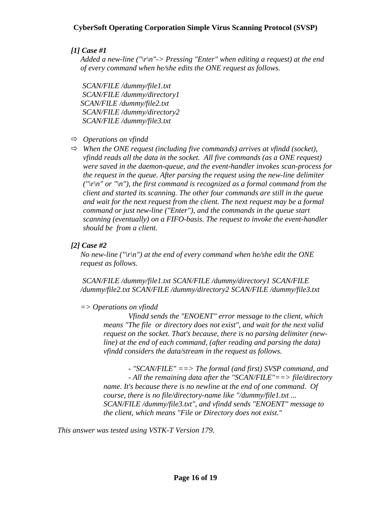# *[1] Case #1*

*Added a new-line ("\r\n"-> Pressing "Enter" when editing a request) at the end of every command when he/she edits the ONE request as follows.*

 *SCAN/FILE /dummy/file1.txt SCAN/FILE /dummy/directory1 SCAN/FILE /dummy/file2.txt SCAN/FILE /dummy/directory2 SCAN/FILE /dummy/file3.txt*

#### *Operations on vfindd*

 *When the ONE request (including five commands) arrives at vfindd (socket), vfindd reads all the data in the socket. All five commands (as a ONE request) were saved in the daemon-queue, and the event-handler invokes scan-process for the request in the queue. After parsing the request using the new-line delimiter ("\r\n" or "\n"), the first command is recognized as a formal command from the client and started its scanning. The other four commands are still in the queue and wait for the next request from the client. The next request may be a formal command or just new-line ("Enter"), and the commands in the queue start scanning (eventually) on a FIFO-basis. The request to invoke the event-handler should be from a client.*

## *[2] Case #2*

 *No new-line ("\r\n") at the end of every command when he/she edit the ONE request as follows.*

*SCAN/FILE /dummy/file1.txt SCAN/FILE /dummy/directory1 SCAN/FILE /dummy/file2.txt SCAN/FILE /dummy/directory2 SCAN/FILE /dummy/file3.txt*

# *=> Operations on vfindd*

 *Vfindd sends the "ENOENT" error message to the client, which means "The file or directory does not exist", and wait for the next valid request on the socket. That's because, there is no parsing delimiter (newline) at the end of each command, (after reading and parsing the data) vfindd considers the data/stream in the request as follows.*

 *- "SCAN/FILE" ==> The formal (and first) SVSP command, and*

*- All the remaining data after the "SCAN/FILE"==> file/directory name. It's because there is no newline at the end of one command. Of course, there is no file/directory-name like "/dummy/file1.txt ... SCAN/FILE /dummy/file3.txt", and vfindd sends "ENOENT" message to the client, which means "File or Directory does not exist."*

*This answer was tested using VSTK-T Version 179.*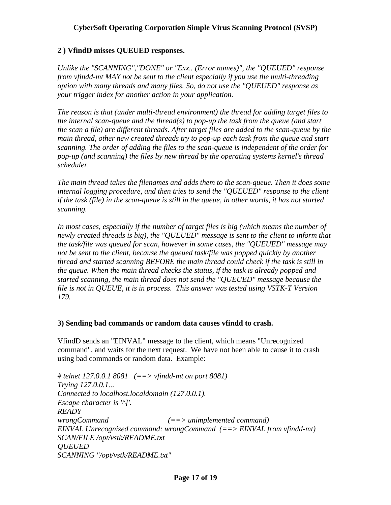# **2 ) VfindD misses QUEUED responses.**

*Unlike the "SCANNING","DONE" or "Exx.. (Error names)", the "QUEUED" response from vfindd-mt MAY not be sent to the client especially if you use the multi-threading option with many threads and many files. So, do not use the "QUEUED" response as your trigger index for another action in your application.*

*The reason is that (under multi-thread environment) the thread for adding target files to the internal scan-queue and the thread(s) to pop-up the task from the queue (and start the scan a file) are different threads. After target files are added to the scan-queue by the main thread, other new created threads try to pop-up each task from the queue and start scanning. The order of adding the files to the scan-queue is independent of the order for pop-up (and scanning) the files by new thread by the operating systems kernel's thread scheduler.*

*The main thread takes the filenames and adds them to the scan-queue. Then it does some internal logging procedure, and then tries to send the "QUEUED" response to the client if the task (file) in the scan-queue is still in the queue, in other words, it has not started scanning.*

*In most cases, especially if the number of target files is big (which means the number of newly created threads is big), the "QUEUED" message is sent to the client to inform that the task/file was queued for scan, however in some cases, the "QUEUED" message may not be sent to the client, because the queued task/file was popped quickly by another thread and started scanning BEFORE the main thread could check if the task is still in the queue. When the main thread checks the status, if the task is already popped and started scanning, the main thread does not send the "QUEUED" message because the file is not in QUEUE, it is in process. This answer was tested using VSTK-T Version 179.*

# **3) Sending bad commands or random data causes vfindd to crash.**

VfindD sends an "EINVAL" message to the client, which means "Unrecognized command", and waits for the next request. We have not been able to cause it to crash using bad commands or random data. Example:

```
# telnet 127.0.0.1 8081 (==> vfindd-mt on port 8081)
Trying 127.0.0.1...
Connected to localhost.localdomain (127.0.0.1).
Escape character is '^]'.
READY
wrongCommand (==> unimplemented command)
EINVAL Unrecognized command: wrongCommand (==> EINVAL from vfindd-mt)
SCAN/FILE /opt/vstk/README.txt
QUEUED
SCANNING "/opt/vstk/README.txt"
```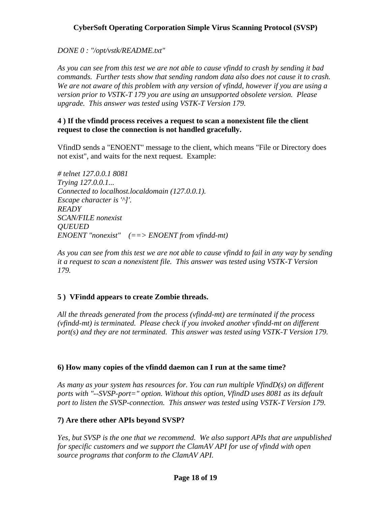*DONE 0 : "/opt/vstk/README.txt"*

*As you can see from this test we are not able to cause vfindd to crash by sending it bad commands. Further tests show that sending random data also does not cause it to crash. We are not aware of this problem with any version of vfindd, however if you are using a version prior to VSTK-T 179 you are using an unsupported obsolete version. Please upgrade. This answer was tested using VSTK-T Version 179.*

## **4 ) If the vfindd process receives a request to scan a nonexistent file the client request to close the connection is not handled gracefully.**

VfindD sends a "ENOENT" message to the client, which means "File or Directory does not exist", and waits for the next request. Example:

*# telnet 127.0.0.1 8081 Trying 127.0.0.1... Connected to localhost.localdomain (127.0.0.1). Escape character is '^]'. READY SCAN/FILE nonexist QUEUED ENOENT "nonexist" (==> ENOENT from vfindd-mt)*

*As you can see from this test we are not able to cause vfindd to fail in any way by sending it a request to scan a nonexistent file. This answer was tested using VSTK-T Version 179.*

# **5 ) VFindd appears to create Zombie threads.**

*All the threads generated from the process (vfindd-mt) are terminated if the process (vfindd-mt) is terminated. Please check if you invoked another vfindd-mt on different port(s) and they are not terminated. This answer was tested using VSTK-T Version 179.*

# **6) How many copies of the vfindd daemon can I run at the same time?**

*As many as your system has resources for. You can run multiple VfindD(s) on different ports with "--SVSP-port=" option. Without this option, VfindD uses 8081 as its default port to listen the SVSP-connection. This answer was tested using VSTK-T Version 179.*

# **7) Are there other APIs beyond SVSP?**

*Yes, but SVSP is the one that we recommend. We also support APIs that are unpublished for specific customers and we support the ClamAV API for use of vfindd with open source programs that conform to the ClamAV API.*